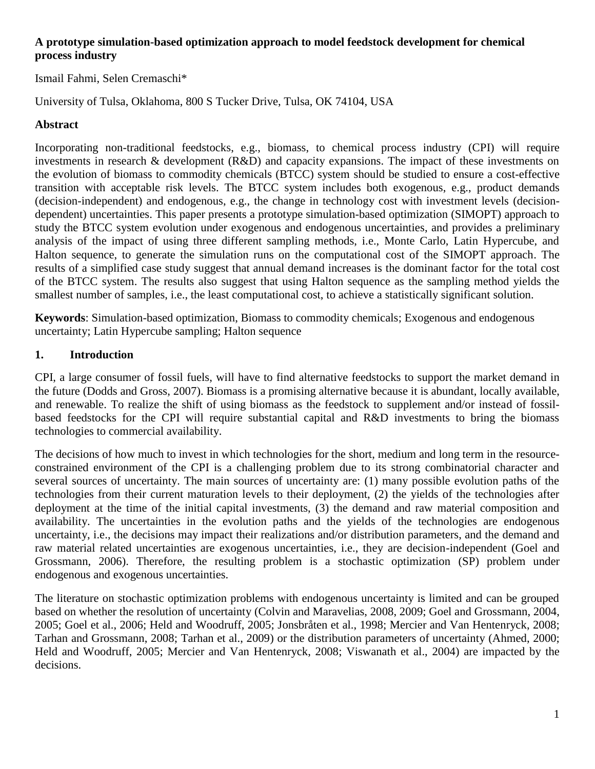## **A prototype simulation-based optimization approach to model feedstock development for chemical process industry**

Ismail Fahmi, Selen Cremaschi\*

University of Tulsa, Oklahoma, 800 S Tucker Drive, Tulsa, OK 74104, USA

### **Abstract**

Incorporating non-traditional feedstocks, e.g., biomass, to chemical process industry (CPI) will require investments in research & development (R&D) and capacity expansions. The impact of these investments on the evolution of biomass to commodity chemicals (BTCC) system should be studied to ensure a cost-effective transition with acceptable risk levels. The BTCC system includes both exogenous, e.g., product demands (decision-independent) and endogenous, e.g., the change in technology cost with investment levels (decisiondependent) uncertainties. This paper presents a prototype simulation-based optimization (SIMOPT) approach to study the BTCC system evolution under exogenous and endogenous uncertainties, and provides a preliminary analysis of the impact of using three different sampling methods, i.e., Monte Carlo, Latin Hypercube, and Halton sequence, to generate the simulation runs on the computational cost of the SIMOPT approach. The results of a simplified case study suggest that annual demand increases is the dominant factor for the total cost of the BTCC system. The results also suggest that using Halton sequence as the sampling method yields the smallest number of samples, i.e., the least computational cost, to achieve a statistically significant solution.

**Keywords**: Simulation-based optimization, Biomass to commodity chemicals; Exogenous and endogenous uncertainty; Latin Hypercube sampling; Halton sequence

### **1. Introduction**

CPI, a large consumer of fossil fuels, will have to find alternative feedstocks to support the market demand in the future [\(Dodds and Gross, 2007\)](#page-12-0). Biomass is a promising alternative because it is abundant, locally available, and renewable. To realize the shift of using biomass as the feedstock to supplement and/or instead of fossilbased feedstocks for the CPI will require substantial capital and R&D investments to bring the biomass technologies to commercial availability.

The decisions of how much to invest in which technologies for the short, medium and long term in the resourceconstrained environment of the CPI is a challenging problem due to its strong combinatorial character and several sources of uncertainty. The main sources of uncertainty are: (1) many possible evolution paths of the technologies from their current maturation levels to their deployment, (2) the yields of the technologies after deployment at the time of the initial capital investments, (3) the demand and raw material composition and availability. The uncertainties in the evolution paths and the yields of the technologies are endogenous uncertainty, i.e., the decisions may impact their realizations and/or distribution parameters, and the demand and raw material related uncertainties are exogenous uncertainties, i.e., they are decision-independent [\(Goel and](#page-12-1)  [Grossmann, 2006\)](#page-12-1). Therefore, the resulting problem is a stochastic optimization (SP) problem under endogenous and exogenous uncertainties.

The literature on stochastic optimization problems with endogenous uncertainty is limited and can be grouped based on whether the resolution of uncertainty [\(Colvin and Maravelias, 2008,](#page-12-2) [2009;](#page-12-3) [Goel and Grossmann, 2004,](#page-12-4) [2005;](#page-12-5) [Goel et al., 2006;](#page-12-6) [Held and Woodruff, 2005;](#page-12-7) [Jonsbråten et al., 1998;](#page-12-8) Mercier [and Van Hentenryck, 2008;](#page-12-9) [Tarhan and Grossmann, 2008;](#page-13-0) [Tarhan et al., 2009\)](#page-13-1) or the distribution parameters of uncertainty [\(Ahmed, 2000;](#page-12-10) [Held and Woodruff, 2005;](#page-12-7) [Mercier and Van Hentenryck, 2008;](#page-12-9) [Viswanath et al., 2004\)](#page-13-2) are impacted by the decisions.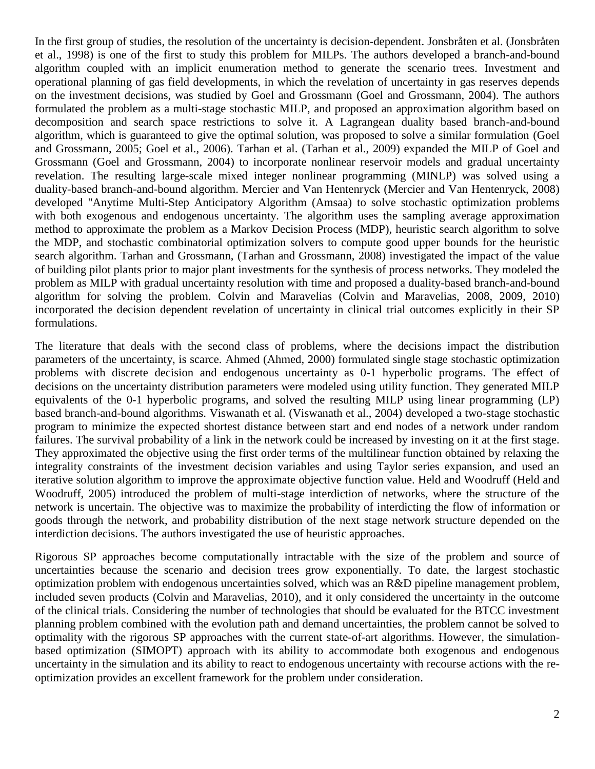In the first group of studies, the resolution of the uncertainty is decision-dependent. Jonsbråten et al. [\(Jonsbråten](#page-12-8)  [et al., 1998\)](#page-12-8) is one of the first to study this problem for MILPs. The authors developed a branch-and-bound algorithm coupled with an implicit enumeration method to generate the scenario trees. Investment and operational planning of gas field developments, in which the revelation of uncertainty in gas reserves depends on the investment decisions, was studied by Goel and Grossmann [\(Goel and Grossmann, 2004\)](#page-12-4). The authors formulated the problem as a multi-stage stochastic MILP, and proposed an approximation algorithm based on decomposition and search space restrictions to solve it. A Lagrangean duality based branch-and-bound algorithm, which is guaranteed to give the optimal solution, was proposed to solve a similar formulation [\(Goel](#page-12-5)  [and Grossmann, 2005;](#page-12-5) [Goel et al., 2006\)](#page-12-6). Tarhan et al. [\(Tarhan et al., 2009\)](#page-13-1) expanded the MILP of Goel and Grossmann [\(Goel and Grossmann, 2004\)](#page-12-4) to incorporate nonlinear reservoir models and gradual uncertainty revelation. The resulting large-scale mixed integer nonlinear programming (MINLP) was solved using a duality-based branch-and-bound algorithm. Mercier and Van Hentenryck [\(Mercier and Van Hentenryck, 2008\)](#page-12-9) developed "Anytime Multi-Step Anticipatory Algorithm (Amsaa) to solve stochastic optimization problems with both exogenous and endogenous uncertainty. The algorithm uses the sampling average approximation method to approximate the problem as a Markov Decision Process (MDP), heuristic search algorithm to solve the MDP, and stochastic combinatorial optimization solvers to compute good upper bounds for the heuristic search algorithm. Tarhan and Grossmann, [\(Tarhan and Grossmann, 2008\)](#page-13-0) investigated the impact of the value of building pilot plants prior to major plant investments for the synthesis of process networks. They modeled the problem as MILP with gradual uncertainty resolution with time and proposed a duality-based branch-and-bound algorithm for solving the problem. Colvin and Maravelias [\(Colvin and Maravelias, 2008,](#page-12-2) [2009,](#page-12-3) [2010\)](#page-12-11) incorporated the decision dependent revelation of uncertainty in clinical trial outcomes explicitly in their SP formulations.

The literature that deals with the second class of problems, where the decisions impact the distribution parameters of the uncertainty, is scarce. Ahmed [\(Ahmed, 2000\)](#page-12-10) formulated single stage stochastic optimization problems with discrete decision and endogenous uncertainty as 0-1 hyperbolic programs. The effect of decisions on the uncertainty distribution parameters were modeled using utility function. They generated MILP equivalents of the 0-1 hyperbolic programs, and solved the resulting MILP using linear programming (LP) based branch-and-bound algorithms. Viswanath et al. [\(Viswanath et al., 2004\)](#page-13-2) developed a two-stage stochastic program to minimize the expected shortest distance between start and end nodes of a network under random failures. The survival probability of a link in the network could be increased by investing on it at the first stage. They approximated the objective using the first order terms of the multilinear function obtained by relaxing the integrality constraints of the investment decision variables and using Taylor series expansion, and used an iterative solution algorithm to improve the approximate objective function value. Held and Woodruff [\(Held and](#page-12-7)  [Woodruff, 2005\)](#page-12-7) introduced the problem of multi-stage interdiction of networks, where the structure of the network is uncertain. The objective was to maximize the probability of interdicting the flow of information or goods through the network, and probability distribution of the next stage network structure depended on the interdiction decisions. The authors investigated the use of heuristic approaches.

Rigorous SP approaches become computationally intractable with the size of the problem and source of uncertainties because the scenario and decision trees grow exponentially. To date, the largest stochastic optimization problem with endogenous uncertainties solved, which was an R&D pipeline management problem, included seven products [\(Colvin and Maravelias, 2010\)](#page-12-11), and it only considered the uncertainty in the outcome of the clinical trials. Considering the number of technologies that should be evaluated for the BTCC investment planning problem combined with the evolution path and demand uncertainties, the problem cannot be solved to optimality with the rigorous SP approaches with the current state-of-art algorithms. However, the simulationbased optimization (SIMOPT) approach with its ability to accommodate both exogenous and endogenous uncertainty in the simulation and its ability to react to endogenous uncertainty with recourse actions with the reoptimization provides an excellent framework for the problem under consideration.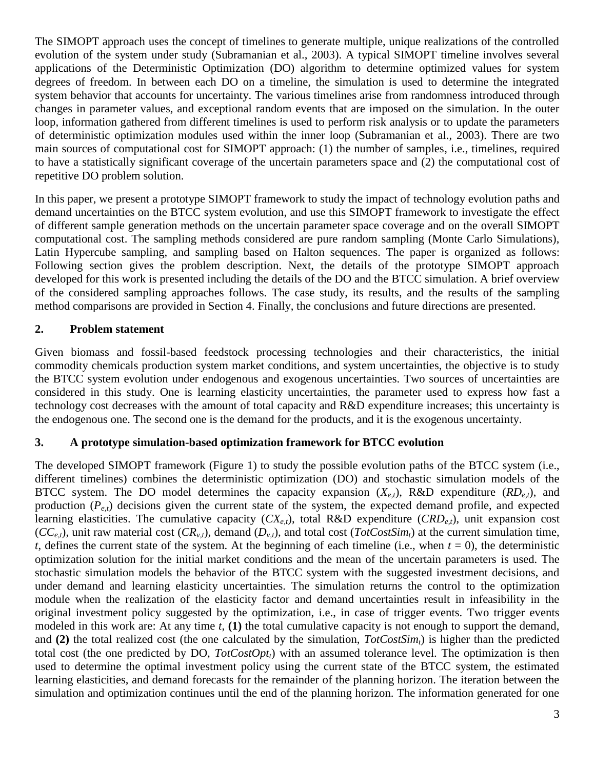The SIMOPT approach uses the concept of timelines to generate multiple, unique realizations of the controlled evolution of the system under study [\(Subramanian et al., 2003\)](#page-13-3). A typical SIMOPT timeline involves several applications of the Deterministic Optimization (DO) algorithm to determine optimized values for system degrees of freedom. In between each DO on a timeline, the simulation is used to determine the integrated system behavior that accounts for uncertainty. The various timelines arise from randomness introduced through changes in parameter values, and exceptional random events that are imposed on the simulation. In the outer loop, information gathered from different timelines is used to perform risk analysis or to update the parameters of deterministic optimization modules used within the inner loop [\(Subramanian et al., 2003\)](#page-13-3). There are two main sources of computational cost for SIMOPT approach: (1) the number of samples, i.e., timelines, required to have a statistically significant coverage of the uncertain parameters space and (2) the computational cost of repetitive DO problem solution.

In this paper, we present a prototype SIMOPT framework to study the impact of technology evolution paths and demand uncertainties on the BTCC system evolution, and use this SIMOPT framework to investigate the effect of different sample generation methods on the uncertain parameter space coverage and on the overall SIMOPT computational cost. The sampling methods considered are pure random sampling (Monte Carlo Simulations), Latin Hypercube sampling, and sampling based on Halton sequences. The paper is organized as follows: Following section gives the problem description. Next, the details of the prototype SIMOPT approach developed for this work is presented including the details of the DO and the BTCC simulation. A brief overview of the considered sampling approaches follows. The case study, its results, and the results of the sampling method comparisons are provided in Section 4. Finally, the conclusions and future directions are presented.

# **2. Problem statement**

Given biomass and fossil-based feedstock processing technologies and their characteristics, the initial commodity chemicals production system market conditions, and system uncertainties, the objective is to study the BTCC system evolution under endogenous and exogenous uncertainties. Two sources of uncertainties are considered in this study. One is learning elasticity uncertainties, the parameter used to express how fast a technology cost decreases with the amount of total capacity and R&D expenditure increases; this uncertainty is the endogenous one. The second one is the demand for the products, and it is the exogenous uncertainty.

## **3. A prototype simulation-based optimization framework for BTCC evolution**

The developed SIMOPT framework (Figure 1) to study the possible evolution paths of the BTCC system (i.e., different timelines) combines the deterministic optimization (DO) and stochastic simulation models of the BTCC system. The DO model determines the capacity expansion  $(X_{e,t})$ , R&D expenditure  $(RD_{e,t})$ , and production (*Pe,t*) decisions given the current state of the system, the expected demand profile, and expected learning elasticities. The cumulative capacity  $(CX_{e,t})$ , total R&D expenditure  $(CRD_{e,t})$ , unit expansion cost  $(CC_{e,t})$ , unit raw material cost  $(CR_{v,t})$ , demand  $(D_{v,t})$ , and total cost  $(TotCostSim_t)$  at the current simulation time, *t*, defines the current state of the system. At the beginning of each timeline (i.e., when  $t = 0$ ), the deterministic optimization solution for the initial market conditions and the mean of the uncertain parameters is used. The stochastic simulation models the behavior of the BTCC system with the suggested investment decisions, and under demand and learning elasticity uncertainties. The simulation returns the control to the optimization module when the realization of the elasticity factor and demand uncertainties result in infeasibility in the original investment policy suggested by the optimization, i.e., in case of trigger events. Two trigger events modeled in this work are: At any time *t*, **(1)** the total cumulative capacity is not enough to support the demand, and **(2)** the total realized cost (the one calculated by the simulation, *TotCostSimt*) is higher than the predicted total cost (the one predicted by DO, *TotCostOptt*) with an assumed tolerance level. The optimization is then used to determine the optimal investment policy using the current state of the BTCC system, the estimated learning elasticities, and demand forecasts for the remainder of the planning horizon. The iteration between the simulation and optimization continues until the end of the planning horizon. The information generated for one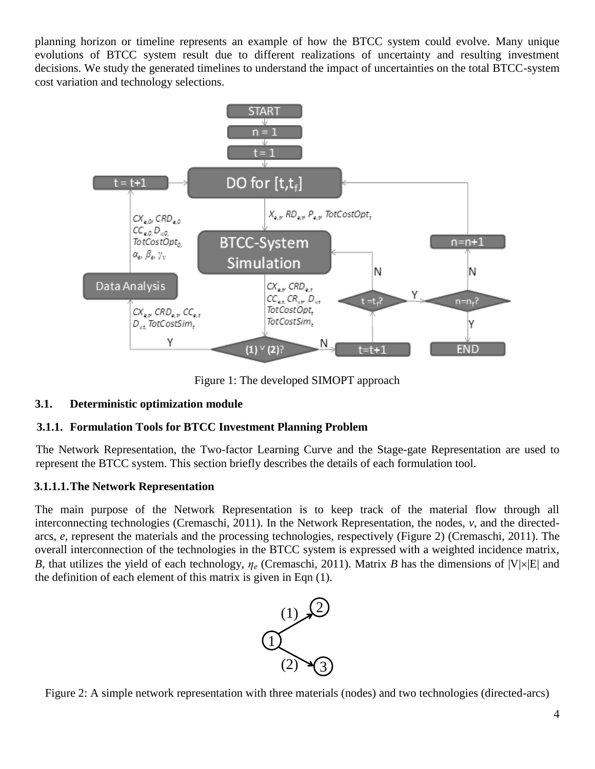planning horizon or timeline represents an example of how the BTCC system could evolve. Many unique evolutions of BTCC system result due to different realizations of uncertainty and resulting investment decisions. We study the generated timelines to understand the impact of uncertainties on the total BTCC-system cost variation and technology selections.



Figure 1: The developed SIMOPT approach

# **3.1. Deterministic optimization module**

# **3.1.1. Formulation Tools for BTCC Investment Planning Problem**

The Network Representation, the Two-factor Learning Curve and the Stage-gate Representation are used to represent the BTCC system. This section briefly describes the details of each formulation tool.

# **3.1.1.1.The Network Representation**

The main purpose of the Network Representation is to keep track of the material flow through all interconnecting technologies [\(Cremaschi, 2011\)](#page-12-12). In the Network Representation, the nodes, *v*, and the directedarcs, *e*, represent the materials and the processing technologies, respectively (Figure 2) [\(Cremaschi, 2011\)](#page-12-12). The overall interconnection of the technologies in the BTCC system is expressed with a weighted incidence matrix, *B*, that utilizes the yield of each technology,  $\eta_e$  [\(Cremaschi, 2011\)](#page-12-12). Matrix *B* has the dimensions of  $|V| \times |E|$  and the definition of each element of this matrix is given in Eqn (1).



Figure 2: A simple network representation with three materials (nodes) and two technologies (directed-arcs)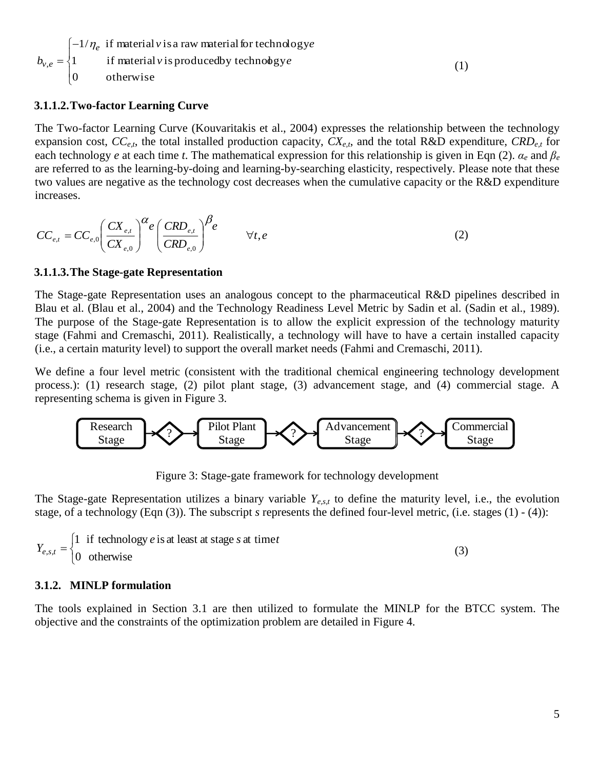$$
b_{v,e} = \begin{cases} -1/\eta_e & \text{if material } v \text{ is a raw material for technology } e \\ 1 & \text{if material } v \text{ is produced by technology } e \\ 0 & \text{otherwise} \end{cases}
$$
(1)

#### **3.1.1.2.Two-factor Learning Curve**

The Two-factor Learning Curve [\(Kouvaritakis et al., 2004\)](#page-12-13) expresses the relationship between the technology expansion cost,  $CC_{e,t}$ , the total installed production capacity,  $CX_{e,t}$ , and the total R&D expenditure,  $CRD_{e,t}$  for each technology *e* at each time *t*. The mathematical expression for this relationship is given in Eqn (2). *α<sup>e</sup>* and *β<sup>e</sup>* are referred to as the learning-by-doing and learning-by-searching elasticity, respectively. Please note that these two values are negative as the technology cost decreases when the cumulative capacity or the R&D expenditure increases.

$$
CC_{e,t} = CC_{e,0} \left(\frac{CX_{e,t}}{CX_{e,0}}\right)^{\alpha} e \left(\frac{CRD_{e,t}}{CRD_{e,0}}\right)^{\beta} e \qquad \forall t, e
$$
 (2)

#### **3.1.1.3.The Stage-gate Representation**

The Stage-gate Representation uses an analogous concept to the pharmaceutical R&D pipelines described in Blau et al. [\(Blau et al., 2004\)](#page-12-14) and the Technology Readiness Level Metric by Sadin et al. [\(Sadin et al., 1989\)](#page-12-15). The purpose of the Stage-gate Representation is to allow the explicit expression of the technology maturity stage [\(Fahmi and Cremaschi, 2011\)](#page-12-16). Realistically, a technology will have to have a certain installed capacity (i.e., a certain maturity level) to support the overall market needs [\(Fahmi and Cremaschi, 2011\)](#page-12-16).

We define a four level metric (consistent with the traditional chemical engineering technology development process.): (1) research stage, (2) pilot plant stage, (3) advancement stage, and (4) commercial stage. A representing schema is given in Figure 3.



Figure 3: Stage-gate framework for technology development

The Stage-gate Representation utilizes a binary variable *Ye,s,t* to define the maturity level, i.e., the evolution stage, of a technology (Eqn (3)). The subscript *s* represents the defined four-level metric, (i.e. stages (1) - (4)):

$$
Y_{e,s,t} = \begin{cases} 1 & \text{if technology } e \text{ is at least at stage } s \text{ at time } t \\ 0 & \text{otherwise} \end{cases}
$$
 (3)

#### **3.1.2. MINLP formulation**

The tools explained in Section 3.1 are then utilized to formulate the MINLP for the BTCC system. The objective and the constraints of the optimization problem are detailed in Figure 4.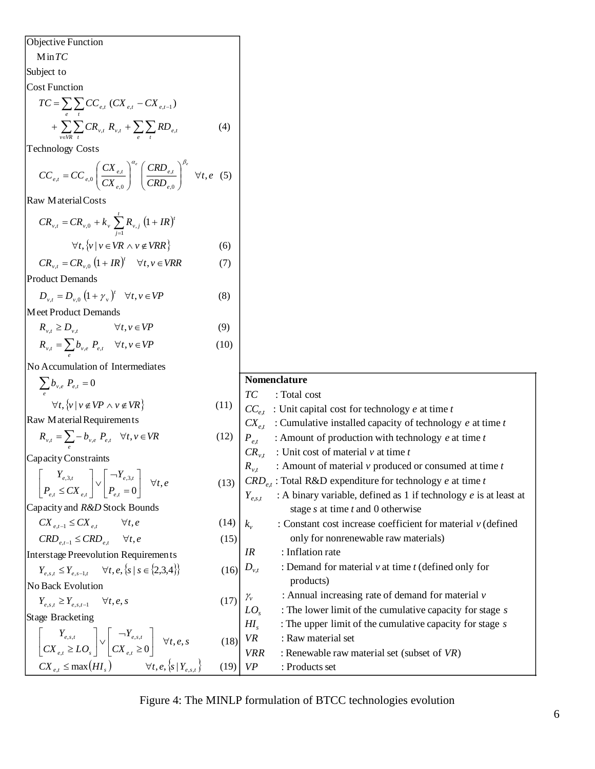| Objective Function                                                                                                              |
|---------------------------------------------------------------------------------------------------------------------------------|
| Min <i>TC</i>                                                                                                                   |
| Subject to                                                                                                                      |
| <i>CT</i> = $\sum_{k=0}^{n} \sum_{k} CC_{k,i} (X_{k,i} - CX_{k,i})$                                                             |
| <i>7</i> = $\sum_{k=0}^{n} \sum_{k} CC_{k,i} (X_{k,i} - CX_{k,i})$                                                              |
| Technology Costs                                                                                                                |
| <i>CC</i> , $- CC_{k,0} \left(\frac{CX_{k,i}}{CX_{k,i}}\right)^n \left(\frac{CRD_{k,i}}{CRD_{k,0}}\right)^n \forall t, e \in S$ |
| Row are                                                                                                                         |
| <i>CR</i> , $- CR_{k,0} + k$ , $\sum_{k=0}^{n} R_{k,i} (1+IR)$                                                                  |
| <i>CR</i> , $-D_{k,0} (1+W)$ $\forall t, v \in VR$                                                                              |
| <i>Rec</i> , $-D_{k,0} (1+W)$ $\forall t, v \in VP$                                                                             |
| <i>Rec</i> , $-D_{k,0} (1+W)$ $\forall t, v \in VP$                                                                             |
| <i>Rec</i> , $-D_{k,0} (1+W)$ $\forall t, v \in VP$                                                                             |
| <i>Rec</i> , $-D_{k,0} (1+W)$ $\forall t, v \in VP$                                                                             |
| <i>Rec</i> , $-D_{k,0} (1+W)$ $\forall t, v \in VP$                                                                             |
| <i>Rec</i> , $-D_{k,0} (1+W)$ $\forall t, v \in VP$                                                                             |
| <i>Rec</i> , $-D_{k,0} (1+W)$ $\forall t, v \in VP$                                                                             |
| <i>Rec</i> , $-D_{k,0} (1+W)$ $\forall t, v \in VP$                                                                             |
| <i>Rec</i>                                                                                                                      |

Figure 4: The MINLP formulation of BTCC technologies evolution

*c* of technology *e* at time *t* 

*Y* if technology *e* is at least at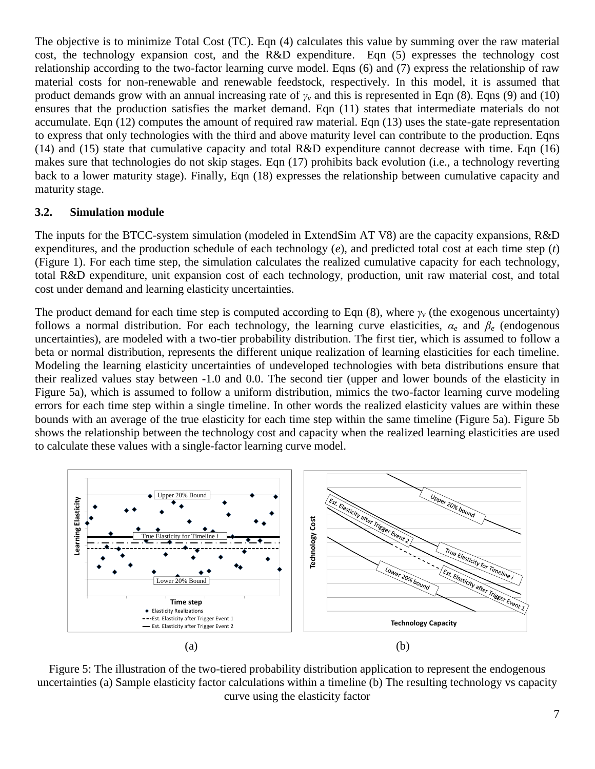The objective is to minimize Total Cost (TC). Eqn (4) calculates this value by summing over the raw material cost, the technology expansion cost, and the R&D expenditure. Eqn (5) expresses the technology cost relationship according to the two-factor learning curve model. Eqns (6) and (7) express the relationship of raw material costs for non-renewable and renewable feedstock, respectively. In this model, it is assumed that product demands grow with an annual increasing rate of  $\gamma$ <sup>*v*</sup> and this is represented in Eqn (8). Eqns (9) and (10) ensures that the production satisfies the market demand. Eqn (11) states that intermediate materials do not accumulate. Eqn (12) computes the amount of required raw material. Eqn (13) uses the state-gate representation to express that only technologies with the third and above maturity level can contribute to the production. Eqns (14) and (15) state that cumulative capacity and total R&D expenditure cannot decrease with time. Eqn (16) makes sure that technologies do not skip stages. Eqn (17) prohibits back evolution (i.e., a technology reverting back to a lower maturity stage). Finally, Eqn (18) expresses the relationship between cumulative capacity and maturity stage.

### **3.2. Simulation module**

The inputs for the BTCC-system simulation (modeled in ExtendSim AT V8) are the capacity expansions, R&D expenditures, and the production schedule of each technology (*e*), and predicted total cost at each time step (*t*) (Figure 1). For each time step, the simulation calculates the realized cumulative capacity for each technology, total R&D expenditure, unit expansion cost of each technology, production, unit raw material cost, and total cost under demand and learning elasticity uncertainties.

The product demand for each time step is computed according to Eqn (8), where *γ<sup>v</sup>* (the exogenous uncertainty) follows a normal distribution. For each technology, the learning curve elasticities,  $\alpha_e$  and  $\beta_e$  (endogenous uncertainties), are modeled with a two-tier probability distribution. The first tier, which is assumed to follow a beta or normal distribution, represents the different unique realization of learning elasticities for each timeline. Modeling the learning elasticity uncertainties of undeveloped technologies with beta distributions ensure that their realized values stay between -1.0 and 0.0. The second tier (upper and lower bounds of the elasticity in Figure 5a), which is assumed to follow a uniform distribution, mimics the two-factor learning curve modeling errors for each time step within a single timeline. In other words the realized elasticity values are within these bounds with an average of the true elasticity for each time step within the same timeline (Figure 5a). Figure 5b shows the relationship between the technology cost and capacity when the realized learning elasticities are used to calculate these values with a single-factor learning curve model.



Figure 5: The illustration of the two-tiered probability distribution application to represent the endogenous uncertainties (a) Sample elasticity factor calculations within a timeline (b) The resulting technology vs capacity curve using the elasticity factor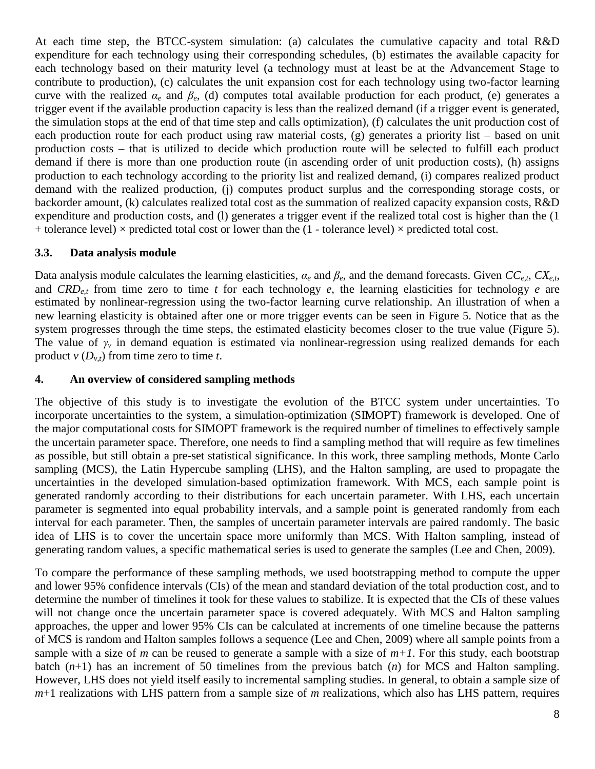At each time step, the BTCC-system simulation: (a) calculates the cumulative capacity and total R&D expenditure for each technology using their corresponding schedules, (b) estimates the available capacity for each technology based on their maturity level (a technology must at least be at the Advancement Stage to contribute to production), (c) calculates the unit expansion cost for each technology using two-factor learning curve with the realized  $\alpha_e$  and  $\beta_e$ , (d) computes total available production for each product, (e) generates a trigger event if the available production capacity is less than the realized demand (if a trigger event is generated, the simulation stops at the end of that time step and calls optimization), (f) calculates the unit production cost of each production route for each product using raw material costs, (g) generates a priority list – based on unit production costs – that is utilized to decide which production route will be selected to fulfill each product demand if there is more than one production route (in ascending order of unit production costs), (h) assigns production to each technology according to the priority list and realized demand, (i) compares realized product demand with the realized production, (j) computes product surplus and the corresponding storage costs, or backorder amount, (k) calculates realized total cost as the summation of realized capacity expansion costs, R&D expenditure and production costs, and (1) generates a trigger event if the realized total cost is higher than the (1) + tolerance level)  $\times$  predicted total cost or lower than the (1 - tolerance level)  $\times$  predicted total cost.

### **3.3. Data analysis module**

Data analysis module calculates the learning elasticities, *α<sup>e</sup>* and *βe*, and the demand forecasts. Given *CCe,t*, *CXe,t*, and *CRDe,t* from time zero to time *t* for each technology *e*, the learning elasticities for technology *e* are estimated by nonlinear-regression using the two-factor learning curve relationship. An illustration of when a new learning elasticity is obtained after one or more trigger events can be seen in Figure 5. Notice that as the system progresses through the time steps, the estimated elasticity becomes closer to the true value (Figure 5). The value of *γ<sup>v</sup>* in demand equation is estimated via nonlinear-regression using realized demands for each product  $v(D_{v,t})$  from time zero to time *t*.

### **4. An overview of considered sampling methods**

The objective of this study is to investigate the evolution of the BTCC system under uncertainties. To incorporate uncertainties to the system, a simulation-optimization (SIMOPT) framework is developed. One of the major computational costs for SIMOPT framework is the required number of timelines to effectively sample the uncertain parameter space. Therefore, one needs to find a sampling method that will require as few timelines as possible, but still obtain a pre-set statistical significance. In this work, three sampling methods, Monte Carlo sampling (MCS), the Latin Hypercube sampling (LHS), and the Halton sampling, are used to propagate the uncertainties in the developed simulation-based optimization framework. With MCS, each sample point is generated randomly according to their distributions for each uncertain parameter. With LHS, each uncertain parameter is segmented into equal probability intervals, and a sample point is generated randomly from each interval for each parameter. Then, the samples of uncertain parameter intervals are paired randomly. The basic idea of LHS is to cover the uncertain space more uniformly than MCS. With Halton sampling, instead of generating random values, a specific mathematical series is used to generate the samples [\(Lee and Chen, 2009\)](#page-12-17).

To compare the performance of these sampling methods, we used bootstrapping method to compute the upper and lower 95% confidence intervals (CIs) of the mean and standard deviation of the total production cost, and to determine the number of timelines it took for these values to stabilize. It is expected that the CIs of these values will not change once the uncertain parameter space is covered adequately. With MCS and Halton sampling approaches, the upper and lower 95% CIs can be calculated at increments of one timeline because the patterns of MCS is random and Halton samples follows a sequence [\(Lee and Chen, 2009\)](#page-12-17) where all sample points from a sample with a size of *m* can be reused to generate a sample with a size of  $m+1$ . For this study, each bootstrap batch  $(n+1)$  has an increment of 50 timelines from the previous batch  $(n)$  for MCS and Halton sampling. However, LHS does not yield itself easily to incremental sampling studies. In general, to obtain a sample size of *m*+1 realizations with LHS pattern from a sample size of *m* realizations, which also has LHS pattern, requires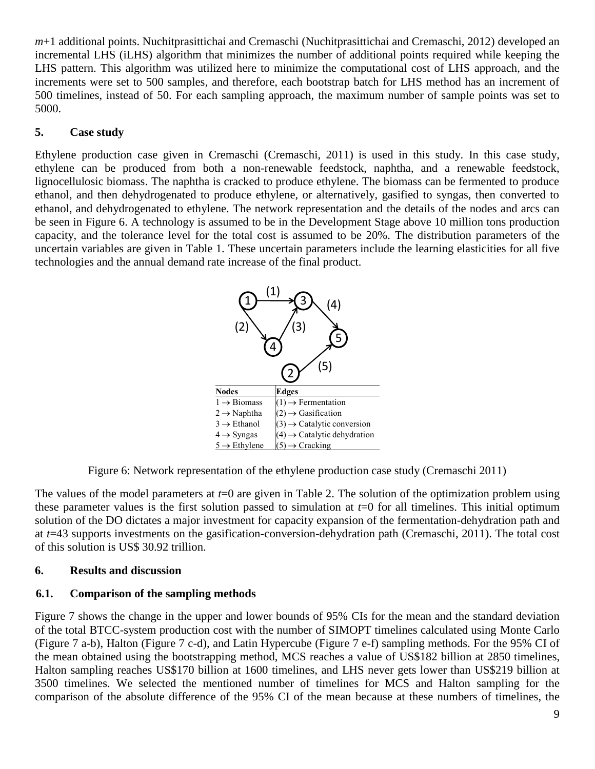*m*+1 additional points. Nuchitprasittichai and Cremaschi [\(Nuchitprasittichai and Cremaschi, 2012\)](#page-12-18) developed an incremental LHS (iLHS) algorithm that minimizes the number of additional points required while keeping the LHS pattern. This algorithm was utilized here to minimize the computational cost of LHS approach, and the increments were set to 500 samples, and therefore, each bootstrap batch for LHS method has an increment of 500 timelines, instead of 50. For each sampling approach, the maximum number of sample points was set to 5000.

# **5. Case study**

Ethylene production case given in Cremaschi [\(Cremaschi, 2011\)](#page-12-12) is used in this study. In this case study, ethylene can be produced from both a non-renewable feedstock, naphtha, and a renewable feedstock, lignocellulosic biomass. The naphtha is cracked to produce ethylene. The biomass can be fermented to produce ethanol, and then dehydrogenated to produce ethylene, or alternatively, gasified to syngas, then converted to ethanol, and dehydrogenated to ethylene. The network representation and the details of the nodes and arcs can be seen in Figure 6. A technology is assumed to be in the Development Stage above 10 million tons production capacity, and the tolerance level for the total cost is assumed to be 20%. The distribution parameters of the uncertain variables are given in Table 1. These uncertain parameters include the learning elasticities for all five technologies and the annual demand rate increase of the final product.



Figure 6: Network representation of the ethylene production case study (Cremaschi 2011)

The values of the model parameters at *t*=0 are given in Table 2. The solution of the optimization problem using these parameter values is the first solution passed to simulation at  $t=0$  for all timelines. This initial optimum solution of the DO dictates a major investment for capacity expansion of the fermentation-dehydration path and at *t*=43 supports investments on the gasification-conversion-dehydration path [\(Cremaschi, 2011\)](#page-12-12). The total cost of this solution is US\$ 30.92 trillion.

## **6. Results and discussion**

# **6.1. Comparison of the sampling methods**

Figure 7 shows the change in the upper and lower bounds of 95% CIs for the mean and the standard deviation of the total BTCC-system production cost with the number of SIMOPT timelines calculated using Monte Carlo (Figure 7 a-b), Halton (Figure 7 c-d), and Latin Hypercube (Figure 7 e-f) sampling methods. For the 95% CI of the mean obtained using the bootstrapping method, MCS reaches a value of US\$182 billion at 2850 timelines, Halton sampling reaches US\$170 billion at 1600 timelines, and LHS never gets lower than US\$219 billion at 3500 timelines. We selected the mentioned number of timelines for MCS and Halton sampling for the comparison of the absolute difference of the 95% CI of the mean because at these numbers of timelines, the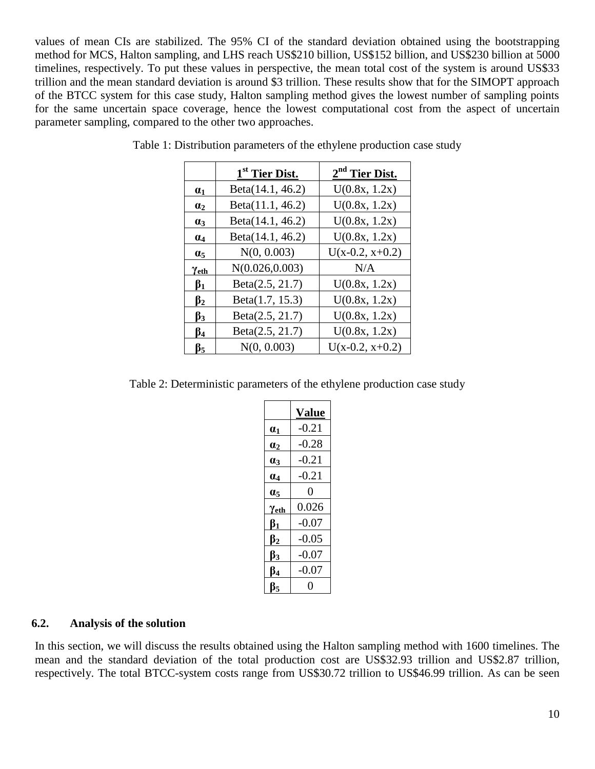values of mean CIs are stabilized. The 95% CI of the standard deviation obtained using the bootstrapping method for MCS, Halton sampling, and LHS reach US\$210 billion, US\$152 billion, and US\$230 billion at 5000 timelines, respectively. To put these values in perspective, the mean total cost of the system is around US\$33 trillion and the mean standard deviation is around \$3 trillion. These results show that for the SIMOPT approach of the BTCC system for this case study, Halton sampling method gives the lowest number of sampling points for the same uncertain space coverage, hence the lowest computational cost from the aspect of uncertain parameter sampling, compared to the other two approaches.

|              | 1 <sup>st</sup> Tier Dist. | 2 <sup>nd</sup> Tier Dist. |
|--------------|----------------------------|----------------------------|
| $\alpha_1$   | Beta(14.1, 46.2)           | U(0.8x, 1.2x)              |
| $\alpha_2$   | Beta(11.1, 46.2)           | U(0.8x, 1.2x)              |
| $\alpha_3$   | Beta(14.1, 46.2)           | U(0.8x, 1.2x)              |
| $\alpha_4$   | Beta(14.1, 46.2)           | U(0.8x, 1.2x)              |
| $\alpha_{5}$ | N(0, 0.003)                | $U(x-0.2, x+0.2)$          |
| Yeth         | N(0.026, 0.003)            | N/A                        |
| $\beta_1$    | Beta(2.5, 21.7)            | U(0.8x, 1.2x)              |
| $\beta_2$    | Beta(1.7, 15.3)            | U(0.8x, 1.2x)              |
| $\beta_3$    | Beta(2.5, 21.7)            | U(0.8x, 1.2x)              |
| β4           | Beta(2.5, 21.7)            | U(0.8x, 1.2x)              |
| $\beta_5$    | N(0, 0.003)                | $U(x-0.2, x+0.2)$          |

Table 1: Distribution parameters of the ethylene production case study

Table 2: Deterministic parameters of the ethylene production case study

|                        | <b>Value</b> |
|------------------------|--------------|
| $\boldsymbol{a_1}$     | $-0.21$      |
| $\mathbf{a}_2$         | $-0.28$      |
| $\mathbf{a}_3$         | $-0.21$      |
| $\alpha_4$             | $-0.21$      |
| $\alpha_5$             | 0            |
| Yeth                   | 0.026        |
| $\beta_1$              | $-0.07$      |
| $\boldsymbol{\beta_2}$ | $-0.05$      |
| $\beta_3$              | $-0.07$      |
| $\beta_4$              | $-0.07$      |
| $B_{5}$                | 0            |

#### **6.2. Analysis of the solution**

In this section, we will discuss the results obtained using the Halton sampling method with 1600 timelines. The mean and the standard deviation of the total production cost are US\$32.93 trillion and US\$2.87 trillion, respectively. The total BTCC-system costs range from US\$30.72 trillion to US\$46.99 trillion. As can be seen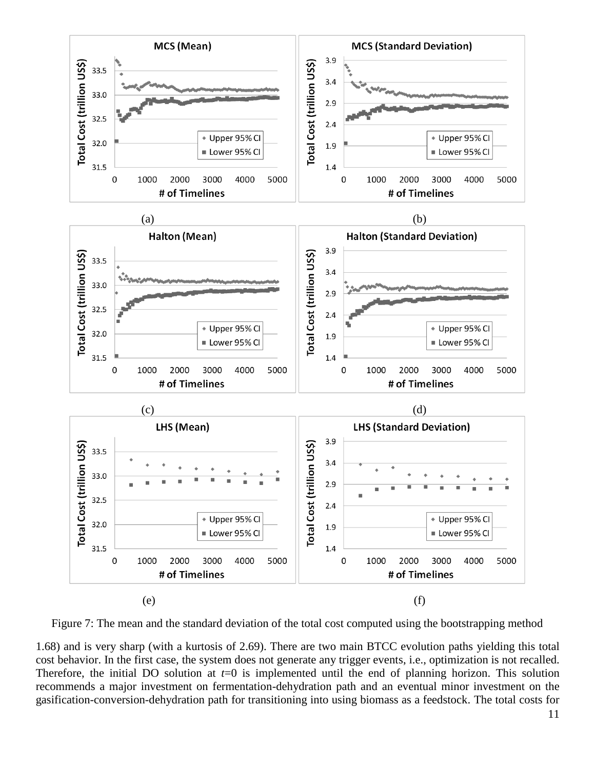

Figure 7: The mean and the standard deviation of the total cost computed using the bootstrapping method

1.68) and is very sharp (with a kurtosis of 2.69). There are two main BTCC evolution paths yielding this total cost behavior. In the first case, the system does not generate any trigger events, i.e., optimization is not recalled. Therefore, the initial DO solution at *t*=0 is implemented until the end of planning horizon. This solution recommends a major investment on fermentation-dehydration path and an eventual minor investment on the gasification-conversion-dehydration path for transitioning into using biomass as a feedstock. The total costs for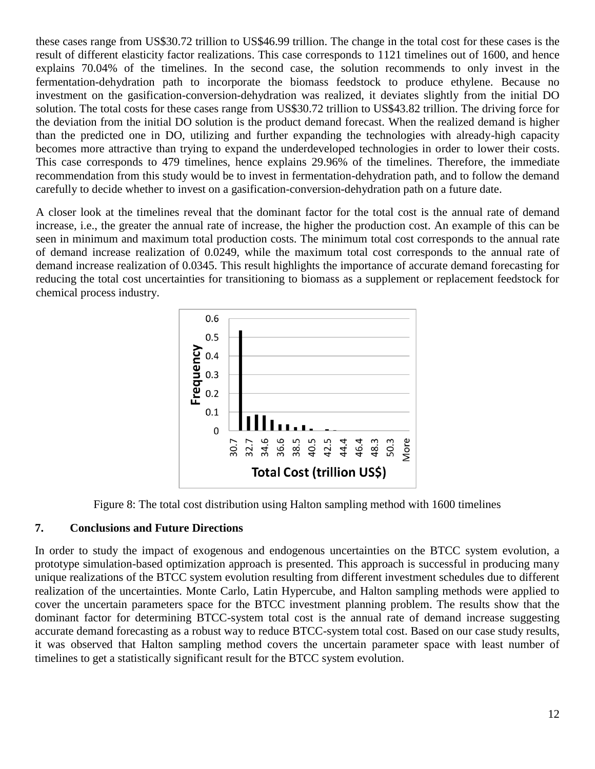these cases range from US\$30.72 trillion to US\$46.99 trillion. The change in the total cost for these cases is the result of different elasticity factor realizations. This case corresponds to 1121 timelines out of 1600, and hence explains 70.04% of the timelines. In the second case, the solution recommends to only invest in the fermentation-dehydration path to incorporate the biomass feedstock to produce ethylene. Because no investment on the gasification-conversion-dehydration was realized, it deviates slightly from the initial DO solution. The total costs for these cases range from US\$30.72 trillion to US\$43.82 trillion. The driving force for the deviation from the initial DO solution is the product demand forecast. When the realized demand is higher than the predicted one in DO, utilizing and further expanding the technologies with already-high capacity becomes more attractive than trying to expand the underdeveloped technologies in order to lower their costs. This case corresponds to 479 timelines, hence explains 29.96% of the timelines. Therefore, the immediate recommendation from this study would be to invest in fermentation-dehydration path, and to follow the demand carefully to decide whether to invest on a gasification-conversion-dehydration path on a future date.

A closer look at the timelines reveal that the dominant factor for the total cost is the annual rate of demand increase, i.e., the greater the annual rate of increase, the higher the production cost. An example of this can be seen in minimum and maximum total production costs. The minimum total cost corresponds to the annual rate of demand increase realization of 0.0249, while the maximum total cost corresponds to the annual rate of demand increase realization of 0.0345. This result highlights the importance of accurate demand forecasting for reducing the total cost uncertainties for transitioning to biomass as a supplement or replacement feedstock for chemical process industry.



Figure 8: The total cost distribution using Halton sampling method with 1600 timelines

## **7. Conclusions and Future Directions**

In order to study the impact of exogenous and endogenous uncertainties on the BTCC system evolution, a prototype simulation-based optimization approach is presented. This approach is successful in producing many unique realizations of the BTCC system evolution resulting from different investment schedules due to different realization of the uncertainties. Monte Carlo, Latin Hypercube, and Halton sampling methods were applied to cover the uncertain parameters space for the BTCC investment planning problem. The results show that the dominant factor for determining BTCC-system total cost is the annual rate of demand increase suggesting accurate demand forecasting as a robust way to reduce BTCC-system total cost. Based on our case study results, it was observed that Halton sampling method covers the uncertain parameter space with least number of timelines to get a statistically significant result for the BTCC system evolution.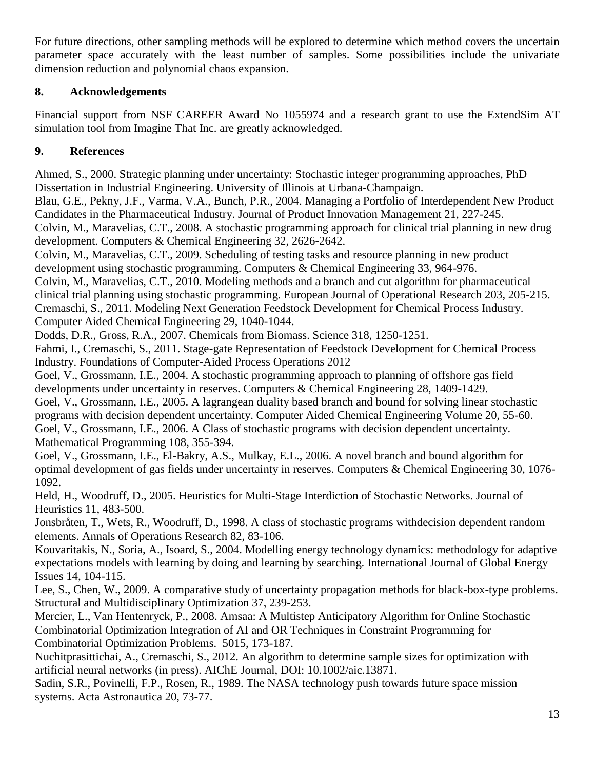For future directions, other sampling methods will be explored to determine which method covers the uncertain parameter space accurately with the least number of samples. Some possibilities include the univariate dimension reduction and polynomial chaos expansion.

# **8. Acknowledgements**

Financial support from NSF CAREER Award No 1055974 and a research grant to use the ExtendSim AT simulation tool from Imagine That Inc. are greatly acknowledged.

# **9. References**

<span id="page-12-10"></span>Ahmed, S., 2000. Strategic planning under uncertainty: Stochastic integer programming approaches, PhD Dissertation in Industrial Engineering. University of Illinois at Urbana-Champaign.

<span id="page-12-14"></span>Blau, G.E., Pekny, J.F., Varma, V.A., Bunch, P.R., 2004. Managing a Portfolio of Interdependent New Product Candidates in the Pharmaceutical Industry. Journal of Product Innovation Management 21, 227-245.

<span id="page-12-2"></span>Colvin, M., Maravelias, C.T., 2008. A stochastic programming approach for clinical trial planning in new drug development. Computers & Chemical Engineering 32, 2626-2642.

<span id="page-12-3"></span>Colvin, M., Maravelias, C.T., 2009. Scheduling of testing tasks and resource planning in new product development using stochastic programming. Computers & Chemical Engineering 33, 964-976.

<span id="page-12-11"></span>Colvin, M., Maravelias, C.T., 2010. Modeling methods and a branch and cut algorithm for pharmaceutical clinical trial planning using stochastic programming. European Journal of Operational Research 203, 205-215. Cremaschi, S., 2011. Modeling Next Generation Feedstock Development for Chemical Process Industry. Computer Aided Chemical Engineering 29, 1040-1044.

<span id="page-12-12"></span><span id="page-12-0"></span>Dodds, D.R., Gross, R.A., 2007. Chemicals from Biomass. Science 318, 1250-1251.

<span id="page-12-16"></span>Fahmi, I., Cremaschi, S., 2011. Stage-gate Representation of Feedstock Development for Chemical Process Industry. Foundations of Computer-Aided Process Operations 2012

<span id="page-12-4"></span>Goel, V., Grossmann, I.E., 2004. A stochastic programming approach to planning of offshore gas field developments under uncertainty in reserves. Computers & Chemical Engineering 28, 1409-1429.

<span id="page-12-5"></span>Goel, V., Grossmann, I.E., 2005. A lagrangean duality based branch and bound for solving linear stochastic programs with decision dependent uncertainty. Computer Aided Chemical Engineering Volume 20, 55-60. Goel, V., Grossmann, I.E., 2006. A Class of stochastic programs with decision dependent uncertainty. Mathematical Programming 108, 355-394.

<span id="page-12-6"></span><span id="page-12-1"></span>Goel, V., Grossmann, I.E., El-Bakry, A.S., Mulkay, E.L., 2006. A novel branch and bound algorithm for optimal development of gas fields under uncertainty in reserves. Computers & Chemical Engineering 30, 1076- 1092.

<span id="page-12-7"></span>Held, H., Woodruff, D., 2005. Heuristics for Multi-Stage Interdiction of Stochastic Networks. Journal of Heuristics 11, 483-500.

<span id="page-12-8"></span>Jonsbråten, T., Wets, R., Woodruff, D., 1998. A class of stochastic programs withdecision dependent random elements. Annals of Operations Research 82, 83-106.

<span id="page-12-13"></span>Kouvaritakis, N., Soria, A., Isoard, S., 2004. Modelling energy technology dynamics: methodology for adaptive expectations models with learning by doing and learning by searching. International Journal of Global Energy Issues 14, 104-115.

<span id="page-12-17"></span>Lee, S., Chen, W., 2009. A comparative study of uncertainty propagation methods for black-box-type problems. Structural and Multidisciplinary Optimization 37, 239-253.

<span id="page-12-9"></span>Mercier, L., Van Hentenryck, P., 2008. Amsaa: A Multistep Anticipatory Algorithm for Online Stochastic Combinatorial Optimization Integration of AI and OR Techniques in Constraint Programming for Combinatorial Optimization Problems. 5015, 173-187.

<span id="page-12-18"></span>Nuchitprasittichai, A., Cremaschi, S., 2012. An algorithm to determine sample sizes for optimization with artificial neural networks (in press). AIChE Journal, DOI: 10.1002/aic.13871.

<span id="page-12-15"></span>Sadin, S.R., Povinelli, F.P., Rosen, R., 1989. The NASA technology push towards future space mission systems. Acta Astronautica 20, 73-77.